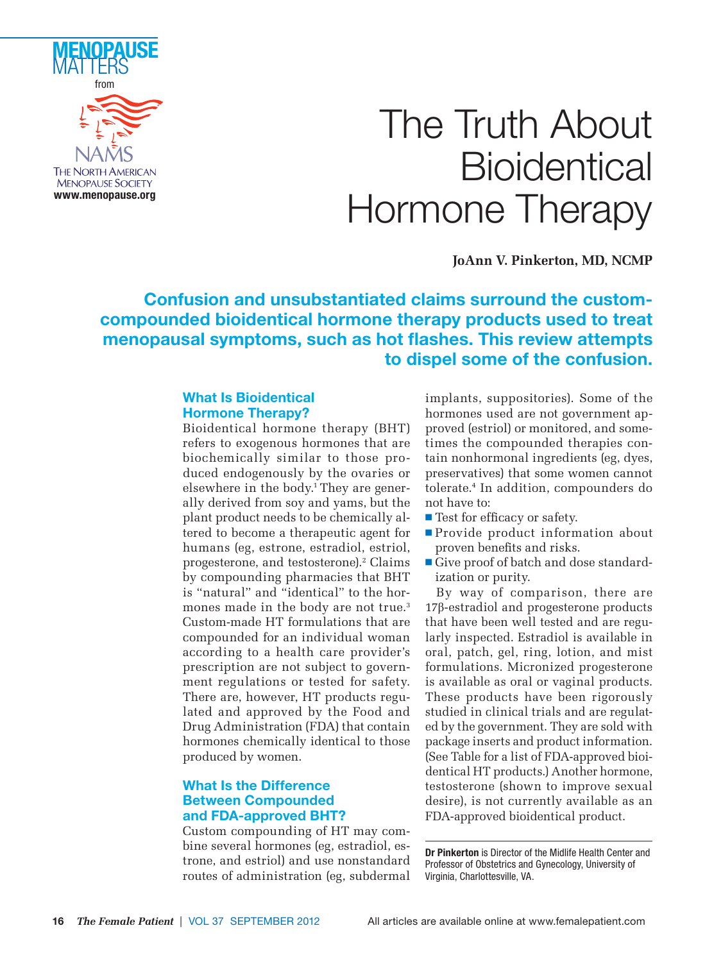

# The Truth About **Bioidentical** Hormone Therapy

**JoAnn V. Pinkerton, MD, NCMP**

# **Confusion and unsubstantiated claims surround the customcompounded bioidentical hormone therapy products used to treat**  menopausal symptoms, such as hot flashes. This review attempts **to dispel some of the confusion.**

# **What Is Bioidentical Hormone Therapy?**

Bioidentical hormone therapy (BHT) refers to exogenous hormones that are biochemically similar to those produced endogenously by the ovaries or elsewhere in the body.<sup>1</sup> They are generally derived from soy and yams, but the plant product needs to be chemically altered to become a therapeutic agent for humans (eg, estrone, estradiol, estriol, progesterone, and testosterone).<sup>2</sup> Claims by compounding pharmacies that BHT is "natural" and "identical" to the hormones made in the body are not true.<sup>3</sup> Custom-made HT formulations that are compounded for an individual woman according to a health care provider's prescription are not subject to government regulations or tested for safety. There are, however, HT products regulated and approved by the Food and Drug Administration (FDA) that contain hormones chemically identical to those produced by women.

# **What Is the Difference Between Compounded and FDA-approved BHT?**

Custom compounding of HT may combine several hormones (eg, estradiol, estrone, and estriol) and use nonstandard routes of administration (eg, subdermal

implants, suppositories). Some of the hormones used are not government approved (estriol) or monitored, and sometimes the compounded therapies contain nonhormonal ingredients (eg, dyes, preservatives) that some women cannot tolerate.4 In addition, compounders do not have to:

- $\blacksquare$  Test for efficacy or safety.
- Provide product information about proven benefits and risks.
- Give proof of batch and dose standardization or purity.

By way of comparison, there are 17β-estradiol and progesterone products that have been well tested and are regularly inspected. Estradiol is available in oral, patch, gel, ring, lotion, and mist formulations. Micronized progesterone is available as oral or vaginal products. These products have been rigorously studied in clinical trials and are regulated by the government. They are sold with package inserts and product information. (See Table for a list of FDA-approved bioidentical HT products.) Another hormone, testosterone (shown to improve sexual desire), is not currently available as an FDA-approved bioidentical product.

**Dr Pinkerton** is Director of the Midlife Health Center and Professor of Obstetrics and Gynecology, University of Virginia, Charlottesville, VA.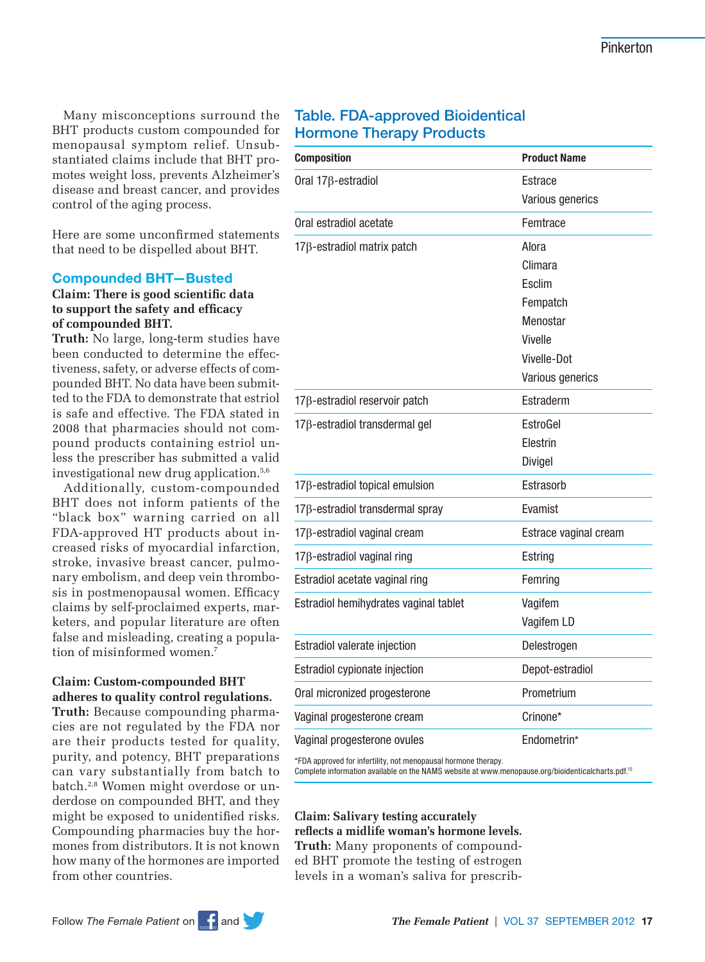Many misconceptions surround the BHT products custom compounded for menopausal symptom relief. Unsubstantiated claims include that BHT promotes weight loss, prevents Alzheimer's disease and breast cancer, and provides control of the aging process.

Here are some unconfirmed statements that need to be dispelled about BHT.

## **Compounded BHT—Busted**

# **Claim: There is good scientific data** to support the safety and efficacy **of compounded BHT.**

**Truth:** No large, long-term studies have been conducted to determine the effectiveness, safety, or adverse effects of compounded BHT. No data have been submitted to the FDA to demonstrate that estriol is safe and effective. The FDA stated in 2008 that pharmacies should not compound products containing estriol unless the prescriber has submitted a valid investigational new drug application.<sup>5,6</sup>

Additionally, custom-compounded BHT does not inform patients of the "black box" warning carried on all FDA-approved HT products about increased risks of myocardial infarction, stroke, invasive breast cancer, pulmonary embolism, and deep vein thrombosis in postmenopausal women. Efficacy claims by self-proclaimed experts, marketers, and popular literature are often false and misleading, creating a population of misinformed women.<sup>7</sup>

## **Claim: Custom-compounded BHT adheres to quality control regulations.**

**Truth:** Because compounding pharmacies are not regulated by the FDA nor are their products tested for quality, purity, and potency, BHT preparations can vary substantially from batch to batch.2,8 Women might overdose or underdose on compounded BHT, and they might be exposed to unidentified risks. Compounding pharmacies buy the hormones from distributors. It is not known how many of the hormones are imported from other countries.

# **Table. FDA-approved Bioidentical Hormone Therapy Products**

| <b>Composition</b>                    | <b>Product Name</b>   |
|---------------------------------------|-----------------------|
| Oral $17\beta$ -estradiol             | Estrace               |
|                                       | Various generics      |
| Oral estradiol acetate                | Femtrace              |
| 17ß-estradiol matrix patch            | Alora                 |
|                                       | Climara               |
|                                       | Esclim                |
|                                       | Fempatch              |
|                                       | Menostar              |
|                                       | Vivelle               |
|                                       | Vivelle-Dot           |
|                                       | Various generics      |
| 17ß-estradiol reservoir patch         | Estraderm             |
| 17ß-estradiol transdermal gel         | EstroGel              |
|                                       | Elestrin              |
|                                       | Divigel               |
| 17β-estradiol topical emulsion        | Estrasorb             |
| 17ß-estradiol transdermal spray       | Evamist               |
| 17β-estradiol vaginal cream           | Estrace vaginal cream |
| 17β-estradiol vaginal ring            | Estring               |
| Estradiol acetate vaginal ring        | Femring               |
| Estradiol hemihydrates vaginal tablet | Vagifem               |
|                                       | Vagifem LD            |
| Estradiol valerate injection          | Delestrogen           |
| Estradiol cypionate injection         | Depot-estradiol       |
| Oral micronized progesterone          | Prometrium            |
| Vaginal progesterone cream            | Crinone*              |
| Vaginal progesterone ovules           | Endometrin*           |

\*FDA approved for infertility, not menopausal hormone therapy.

Complete information available on the NAMS website at www.menopause.org/bioidenticalcharts.pdf.15

**Claim: Salivary testing accurately refl ects a midlife woman's hormone levels. Truth:** Many proponents of compounded BHT promote the testing of estrogen levels in a woman's saliva for prescrib-

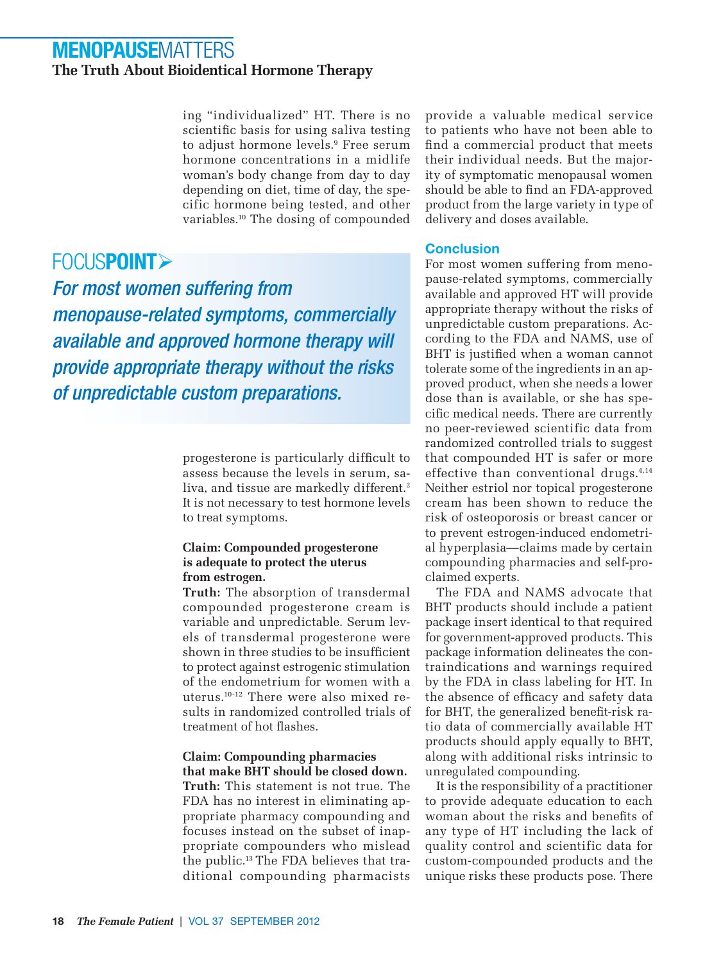# **MENOPAUSE**MATTERS **The Truth About Bioidentical Hormone Therapy**

ing "individualized" HT. There is no scientific basis for using saliva testing to adjust hormone levels.9 Free serum hormone concentrations in a midlife woman's body change from day to day depending on diet, time of day, the specific hormone being tested, and other variables.10 The dosing of compounded

# FOCUS**POINT**

For most women suffering from menopause-related symptoms, commercially available and approved hormone therapy will provide appropriate therapy without the risks of unpredictable custom preparations.

> progesterone is particularly difficult to assess because the levels in serum, saliva, and tissue are markedly different.<sup>2</sup> It is not necessary to test hormone levels to treat symptoms.

## **Claim: Compounded progesterone is adequate to protect the uterus from estrogen.**

**Truth:** The absorption of transdermal compounded progesterone cream is variable and unpredictable. Serum levels of transdermal progesterone were shown in three studies to be insufficient to protect against estrogenic stimulation of the endometrium for women with a uterus.10-12 There were also mixed results in randomized controlled trials of treatment of hot flashes.

# **Claim: Compounding pharmacies that make BHT should be closed down.**

**Truth:** This statement is not true. The FDA has no interest in eliminating appropriate pharmacy compounding and focuses instead on the subset of inappropriate compounders who mislead the public.13 The FDA believes that traditional compounding pharmacists provide a valuable medical service to patients who have not been able to find a commercial product that meets their individual needs. But the majority of symptomatic menopausal women should be able to find an FDA-approved product from the large variety in type of delivery and doses available.

# **Conclusion**

For most women suffering from menopause-related symptoms, commercially available and approved HT will provide appropriate therapy without the risks of unpredictable custom preparations. According to the FDA and NAMS, use of BHT is justified when a woman cannot tolerate some of the ingredients in an approved product, when she needs a lower dose than is available, or she has specific medical needs. There are currently no peer-reviewed scientific data from randomized controlled trials to suggest that compounded HT is safer or more effective than conventional drugs. $4,14$ Neither estriol nor topical progesterone cream has been shown to reduce the risk of osteoporosis or breast cancer or to prevent estrogen-induced endometrial hyperplasia—claims made by certain compounding pharmacies and self-proclaimed experts.

The FDA and NAMS advocate that BHT products should include a patient package insert identical to that required for government-approved products. This package information delineates the contraindications and warnings required by the FDA in class labeling for HT. In the absence of efficacy and safety data for BHT, the generalized benefit-risk ratio data of commercially available HT products should apply equally to BHT, along with additional risks intrinsic to unregulated compounding.

It is the responsibility of a practitioner to provide adequate education to each woman about the risks and benefits of any type of HT including the lack of quality control and scientific data for custom-compounded products and the unique risks these products pose. There